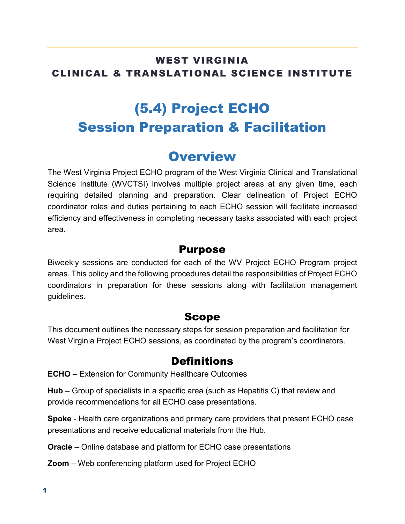### WEST VIRGINIA CLINICAL & TRANSLATIONAL SCIENCE INSTITUTE

# (5.4) Project ECHO Session Preparation & Facilitation

### **Overview**

The West Virginia Project ECHO program of the West Virginia Clinical and Translational Science Institute (WVCTSI) involves multiple project areas at any given time, each requiring detailed planning and preparation. Clear delineation of Project ECHO coordinator roles and duties pertaining to each ECHO session will facilitate increased efficiency and effectiveness in completing necessary tasks associated with each project area.

#### Purpose

Biweekly sessions are conducted for each of the WV Project ECHO Program project areas. This policy and the following procedures detail the responsibilities of Project ECHO coordinators in preparation for these sessions along with facilitation management guidelines.

#### Scope

This document outlines the necessary steps for session preparation and facilitation for West Virginia Project ECHO sessions, as coordinated by the program's coordinators.

#### **Definitions**

**ECHO** – Extension for Community Healthcare Outcomes

**Hub** – Group of specialists in a specific area (such as Hepatitis C) that review and provide recommendations for all ECHO case presentations.

**Spoke** - Health care organizations and primary care providers that present ECHO case presentations and receive educational materials from the Hub.

**Oracle** – Online database and platform for ECHO case presentations

**Zoom** – Web conferencing platform used for Project ECHO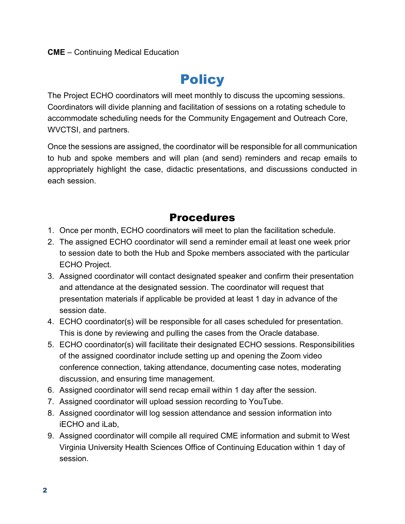# **Policy**

The Project ECHO coordinators will meet monthly to discuss the upcoming sessions. Coordinators will divide planning and facilitation of sessions on a rotating schedule to accommodate scheduling needs for the Community Engagement and Outreach Core, WVCTSI, and partners.

Once the sessions are assigned, the coordinator will be responsible for all communication to hub and spoke members and will plan (and send) reminders and recap emails to appropriately highlight the case, didactic presentations, and discussions conducted in each session.

#### Procedures

- 1. Once per month, ECHO coordinators will meet to plan the facilitation schedule.
- 2. The assigned ECHO coordinator will send a reminder email at least one week prior to session date to both the Hub and Spoke members associated with the particular ECHO Project.
- 3. Assigned coordinator will contact designated speaker and confirm their presentation and attendance at the designated session. The coordinator will request that presentation materials if applicable be provided at least 1 day in advance of the session date.
- 4. ECHO coordinator(s) will be responsible for all cases scheduled for presentation. This is done by reviewing and pulling the cases from the Oracle database.
- 5. ECHO coordinator(s) will facilitate their designated ECHO sessions. Responsibilities of the assigned coordinator include setting up and opening the Zoom video conference connection, taking attendance, documenting case notes, moderating discussion, and ensuring time management.
- 6. Assigned coordinator will send recap email within 1 day after the session.
- 7. Assigned coordinator will upload session recording to YouTube.
- 8. Assigned coordinator will log session attendance and session information into iECHO and iLab,
- 9. Assigned coordinator will compile all required CME information and submit to West Virginia University Health Sciences Office of Continuing Education within 1 day of session.